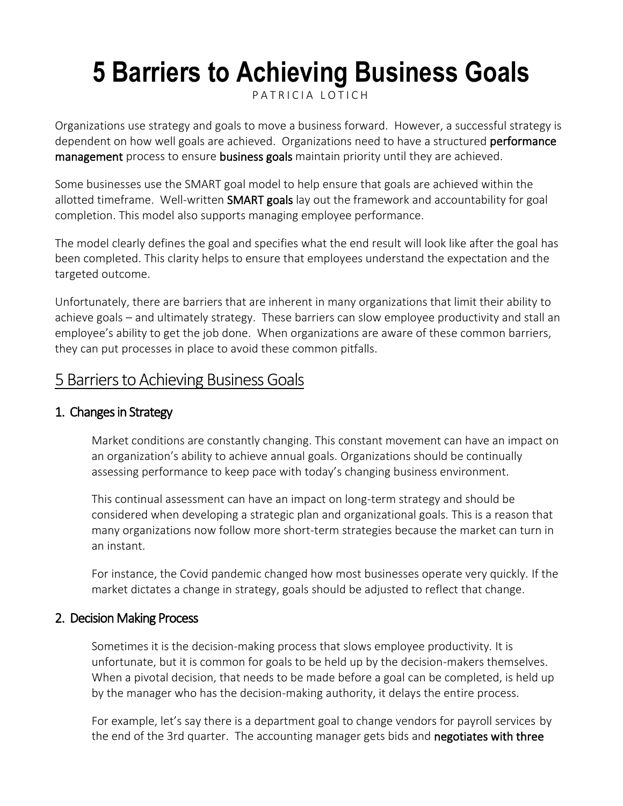# **5 Barriers to Achieving Business Goals**

[P A T R I C I A L O T I C H](https://thethrivingsmallbusiness.com/author/maggie/)

Organizations use strategy and goals to move a business forward. However, a successful strategy is dependent on how well goals are achieved. Organizations need to have a structured **performance** [management](https://thethrivingsmallbusiness.com/3-performance-management-tactics/) process to ensure [business goals](https://thethrivingsmallbusiness.com/examples-of-business-goals/) maintain priority until they are achieved.

Some businesses use the SMART goal model to help ensure that goals are achieved within the allotted timeframe. Well-written **[SMART goals](https://thethrivingsmallbusiness.com/what-are-smart-goals/)** lay out the framework and accountability for goal completion. This model also supports managing employee performance.

The model clearly defines the goal and specifies what the end result will look like after the goal has been completed. This clarity helps to ensure that employees understand the expectation and the targeted outcome.

Unfortunately, there are barriers that are inherent in many organizations that limit their ability to achieve goals – and ultimately strategy. These barriers can slow employee productivity and stall an employee's ability to get the job done. When organizations are aware of these common barriers, they can put processes in place to avoid these common pitfalls.

# 5 Barriers to Achieving Business Goals

## 1. Changes in Strategy

Market conditions are constantly changing. This constant movement can have an impact on an organization's ability to achieve annual goals. Organizations should be continually assessing performance to keep pace with today's changing business environment.

This continual assessment can have an impact on long-term strategy and should be considered when developing a strategic plan and organizational goals. This is a reason that many organizations now follow more short-term strategies because the market can turn in an instant.

For instance, the Covid pandemic changed how most businesses operate very quickly. If the market dictates a change in strategy, goals should be adjusted to reflect that change.

## 2. Decision Making Process

Sometimes it is the decision-making process that slows employee productivity. It is unfortunate, but it is common for goals to be held up by the decision-makers themselves. When a pivotal decision, that needs to be made before a goal can be completed, is held up by the manager who has the decision-making authority, it delays the entire process.

For example, let's say there is a department goal to change vendors for payroll services by the end of the 3rd quarter. The accounting manager gets bids and negotiates with three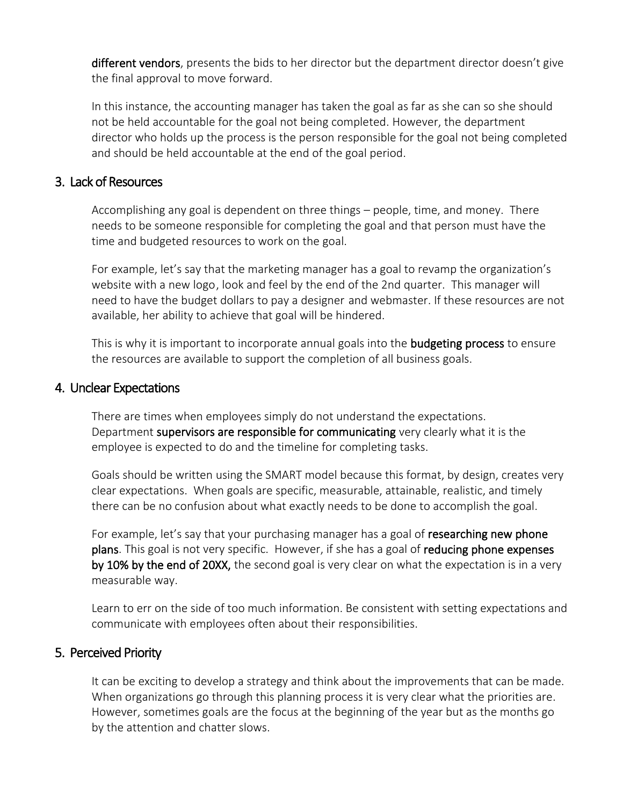[different vendors](https://thethrivingsmallbusiness.com/12-steps-to-contract-negotiations/), presents the bids to her director but the department director doesn't give the final approval to move forward.

In this instance, the accounting manager has taken the goal as far as she can so she should not be held accountable for the goal not being completed. However, the department director who holds up the process is the person responsible for the goal not being completed and should be held accountable at the end of the goal period.

#### 3. Lack of Resources

Accomplishing any goal is dependent on three things – people, time, and money. There needs to be someone responsible for completing the goal and that person must have the time and budgeted resources to work on the goal.

For example, let's say that the marketing manager has a goal to revamp the organization's website with a new logo, look and feel by the end of the 2nd quarter. This manager will need to have the budget dollars to pay a designer and webmaster. If these resources are not available, her ability to achieve that goal will be hindered.

This is why it is important to incorporate annual goals into the **[budgeting process](https://thethrivingsmallbusiness.com/budgeting-process/)** to ensure the resources are available to support the completion of all business goals.

#### 4. Unclear Expectations

There are times when employees simply do not understand the expectations. Department [supervisors are responsible for communicating](https://thethrivingsmallbusiness.com/how-to-transition-an-employee-to-supervisor/) very clearly what it is the employee is expected to do and the timeline for completing tasks.

Goals should be written using the SMART model because this format, by design, creates very clear expectations. When goals are specific, measurable, attainable, realistic, and timely there can be no confusion about what exactly needs to be done to accomplish the goal.

For example, let's say that your purchasing manager has a goal of researching new phone plans. This goal is not very specific. However, if she has a goal of reducing phone expenses by 10% by the end of 20XX, the second goal is very clear on what the expectation is in a very measurable way.

Learn to err on the side of too much information. Be consistent with setting expectations and communicate with employees often about their responsibilities.

## 5. Perceived Priority

It can be exciting to develop a strategy and think about the improvements that can be made. When organizations go through this planning process it is very clear what the priorities are. However, sometimes goals are the focus at the beginning of the year but as the months go by the attention and chatter slows.